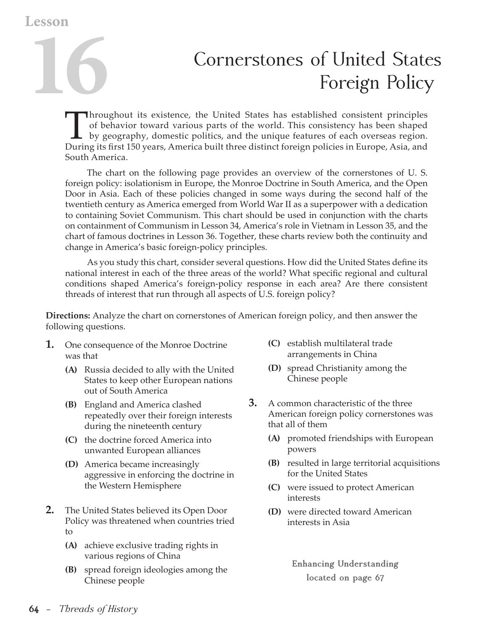**Lesson**

## **1666 Cornerstones of United States**<br> **1666 Foreign Policy**<br> **1666 Foreign Policy** Foreign Policy

Throughout its existence, the United States has established consistent principles<br>of behavior toward various parts of the world. This consistency has been shaped<br>by geography, domestic politics, and the unique features of of behavior toward various parts of the world. This consistency has been shaped by geography, domestic politics, and the unique features of each overseas region. During its first 150 years, America built three distinct foreign policies in Europe, Asia, and South America.

The chart on the following page provides an overview of the cornerstones of U. S. foreign policy: isolationism in Europe, the Monroe Doctrine in South America, and the Open Door in Asia. Each of these policies changed in some ways during the second half of the twentieth century as America emerged from World War II as a superpower with a dedication to containing Soviet Communism. This chart should be used in conjunction with the charts on containment of Communism in Lesson 34, America's role in Vietnam in Lesson 35, and the chart of famous doctrines in Lesson 36. Together, these charts review both the continuity and change in America's basic foreign-policy principles.

 As you study this chart, consider several questions. How did the United States define its national interest in each of the three areas of the world? What specific regional and cultural conditions shaped America's foreign-policy response in each area? Are there consistent threads of interest that run through all aspects of U.S. foreign policy?

**Directions:** Analyze the chart on cornerstones of American foreign policy, and then answer the following questions.

- **1.** One consequence of the Monroe Doctrine was that
	- **(A)** Russia decided to ally with the United States to keep other European nations out of South America
	- **(B)** England and America clashed repeatedly over their foreign interests during the nineteenth century
	- **(C)** the doctrine forced America into unwanted European alliances
	- **(D)** America became increasingly aggressive in enforcing the doctrine in the Western Hemisphere
- **2.** The United States believed its Open Door Policy was threatened when countries tried to
	- **(A)** achieve exclusive trading rights in various regions of China
	- **(B)** spread foreign ideologies among the Chinese people
- **(C)** establish multilateral trade arrangements in China
- **(D)** spread Christianity among the Chinese people
- **3.** A common characteristic of the three American foreign policy cornerstones was that all of them
	- **(A)** promoted friendships with European powers
	- **(B)** resulted in large territorial acquisitions for the United States
	- **(C)** were issued to protect American interests
	- **(D)** were directed toward American interests in Asia

**Enhancing Understanding located on page 67**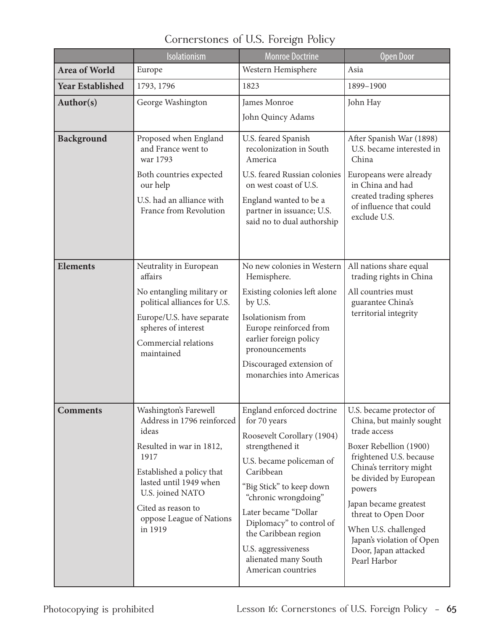|                         | Isolationism                                                                                                                                                                                                                             | <b>Monroe Doctrine</b>                                                                                                                                                                                                                                                                                                                   | <b>Open Door</b>                                                                                                                                                                                                                                                                                                                      |
|-------------------------|------------------------------------------------------------------------------------------------------------------------------------------------------------------------------------------------------------------------------------------|------------------------------------------------------------------------------------------------------------------------------------------------------------------------------------------------------------------------------------------------------------------------------------------------------------------------------------------|---------------------------------------------------------------------------------------------------------------------------------------------------------------------------------------------------------------------------------------------------------------------------------------------------------------------------------------|
| Area of World           | Europe                                                                                                                                                                                                                                   | Western Hemisphere                                                                                                                                                                                                                                                                                                                       | Asia                                                                                                                                                                                                                                                                                                                                  |
| <b>Year Established</b> | 1793, 1796                                                                                                                                                                                                                               | 1823                                                                                                                                                                                                                                                                                                                                     | 1899-1900                                                                                                                                                                                                                                                                                                                             |
| Author(s)               | George Washington                                                                                                                                                                                                                        | James Monroe                                                                                                                                                                                                                                                                                                                             | John Hay                                                                                                                                                                                                                                                                                                                              |
|                         |                                                                                                                                                                                                                                          | John Quincy Adams                                                                                                                                                                                                                                                                                                                        |                                                                                                                                                                                                                                                                                                                                       |
| <b>Background</b>       | Proposed when England<br>and France went to<br>war 1793<br>Both countries expected<br>our help<br>U.S. had an alliance with<br>France from Revolution                                                                                    | U.S. feared Spanish<br>recolonization in South<br>America<br>U.S. feared Russian colonies<br>on west coast of U.S.<br>England wanted to be a<br>partner in issuance; U.S.<br>said no to dual authorship                                                                                                                                  | After Spanish War (1898)<br>U.S. became interested in<br>China<br>Europeans were already<br>in China and had<br>created trading spheres<br>of influence that could<br>exclude U.S.                                                                                                                                                    |
| <b>Elements</b>         | Neutrality in European<br>affairs<br>No entangling military or<br>political alliances for U.S.<br>Europe/U.S. have separate<br>spheres of interest<br>Commercial relations<br>maintained                                                 | No new colonies in Western<br>Hemisphere.<br>Existing colonies left alone<br>by U.S.<br>Isolationism from<br>Europe reinforced from<br>earlier foreign policy<br>pronouncements<br>Discouraged extension of<br>monarchies into Americas                                                                                                  | All nations share equal<br>trading rights in China<br>All countries must<br>guarantee China's<br>territorial integrity                                                                                                                                                                                                                |
| <b>Comments</b>         | Washington's Farewell<br>Address in 1796 reinforced<br>ideas<br>Resulted in war in 1812,<br>1917<br>Established a policy that<br>lasted until 1949 when<br>U.S. joined NATO<br>Cited as reason to<br>oppose League of Nations<br>in 1919 | England enforced doctrine<br>for 70 years<br>Roosevelt Corollary (1904)<br>strengthened it<br>U.S. became policeman of<br>Caribbean<br>"Big Stick" to keep down<br>"chronic wrongdoing"<br>Later became "Dollar<br>Diplomacy" to control of<br>the Caribbean region<br>U.S. aggressiveness<br>alienated many South<br>American countries | U.S. became protector of<br>China, but mainly sought<br>trade access<br>Boxer Rebellion (1900)<br>frightened U.S. because<br>China's territory might<br>be divided by European<br>powers<br>Japan became greatest<br>threat to Open Door<br>When U.S. challenged<br>Japan's violation of Open<br>Door, Japan attacked<br>Pearl Harbor |

Cornerstones of U.S. Foreign Policy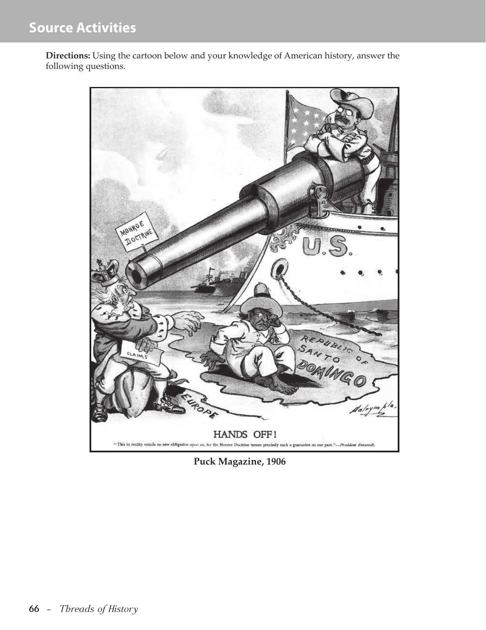**Directions:** Using the cartoon below and your knowledge of American history, answer the following questions.



**Puck Magazine, 1906**